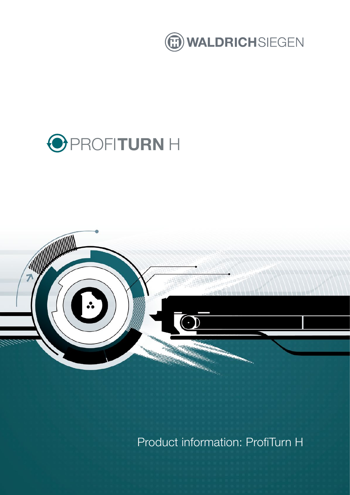

# PROFI**TURN** H



Product information: ProfiTurn H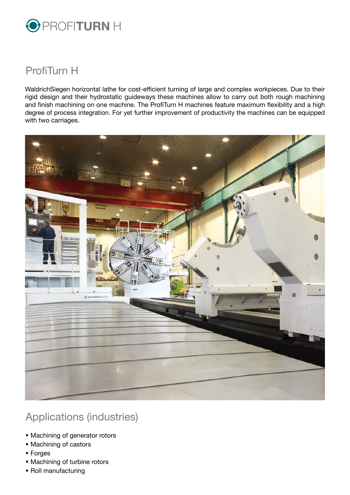

### ProfiTurn H

WaldrichSiegen horizontal lathe for cost-efficient turning of large and complex workpieces. Due to their rigid design and their hydrostatic guideways these machines allow to carry out both rough machining and finish machining on one machine. The ProfiTurn H machines feature maximum flexibility and a high degree of process integration. For yet further improvement of productivity the machines can be equipped with two carriages.



## Applications (industries)

- Machining of generator rotors
- Machining of castors
- Forges
- Machining of turbine rotors
- Roll manufacturing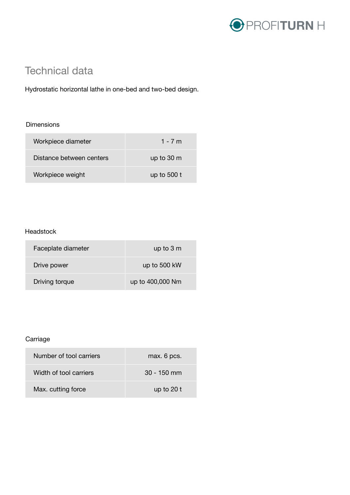

## Technical data

Hydrostatic horizontal lathe in one-bed and two-bed design.

#### Dimensions

| Workpiece diameter       | 1 - 7 m              |
|--------------------------|----------------------|
| Distance between centers | up to $30 \text{ m}$ |
| Workpiece weight         | up to $500t$         |

#### Headstock

| Faceplate diameter | up to $3m$       |
|--------------------|------------------|
| Drive power        | up to 500 kW     |
| Driving torque     | up to 400,000 Nm |

#### Carriage

| Number of tool carriers | max. 6 pcs.   |
|-------------------------|---------------|
| Width of tool carriers  | $30 - 150$ mm |
| Max. cutting force      | up to $20t$   |